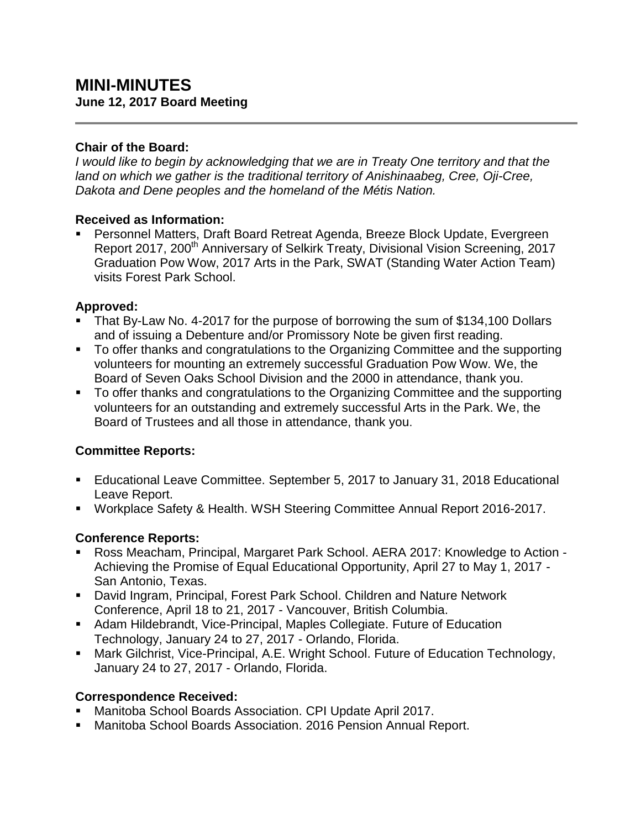### **Chair of the Board:**

*I would like to begin by acknowledging that we are in Treaty One territory and that the land on which we gather is the traditional territory of Anishinaabeg, Cree, Oji-Cree, Dakota and Dene peoples and the homeland of the Métis Nation.*

# **Received as Information:**

 Personnel Matters, Draft Board Retreat Agenda, Breeze Block Update, Evergreen Report 2017, 200<sup>th</sup> Anniversary of Selkirk Treaty, Divisional Vision Screening, 2017 Graduation Pow Wow, 2017 Arts in the Park, SWAT (Standing Water Action Team) visits Forest Park School.

# **Approved:**

- That By-Law No. 4-2017 for the purpose of borrowing the sum of \$134,100 Dollars and of issuing a Debenture and/or Promissory Note be given first reading.
- To offer thanks and congratulations to the Organizing Committee and the supporting volunteers for mounting an extremely successful Graduation Pow Wow. We, the Board of Seven Oaks School Division and the 2000 in attendance, thank you.
- To offer thanks and congratulations to the Organizing Committee and the supporting volunteers for an outstanding and extremely successful Arts in the Park. We, the Board of Trustees and all those in attendance, thank you.

# **Committee Reports:**

- Educational Leave Committee. September 5, 2017 to January 31, 2018 Educational Leave Report.
- Workplace Safety & Health. WSH Steering Committee Annual Report 2016-2017.

# **Conference Reports:**

- Ross Meacham, Principal, Margaret Park School. AERA 2017: Knowledge to Action Achieving the Promise of Equal Educational Opportunity, April 27 to May 1, 2017 - San Antonio, Texas.
- David Ingram, Principal, Forest Park School. Children and Nature Network Conference, April 18 to 21, 2017 - Vancouver, British Columbia.
- Adam Hildebrandt, Vice-Principal, Maples Collegiate. Future of Education Technology, January 24 to 27, 2017 - Orlando, Florida.
- Mark Gilchrist, Vice-Principal, A.E. Wright School. Future of Education Technology, January 24 to 27, 2017 - Orlando, Florida.

# **Correspondence Received:**

- Manitoba School Boards Association. CPI Update April 2017.
- Manitoba School Boards Association. 2016 Pension Annual Report.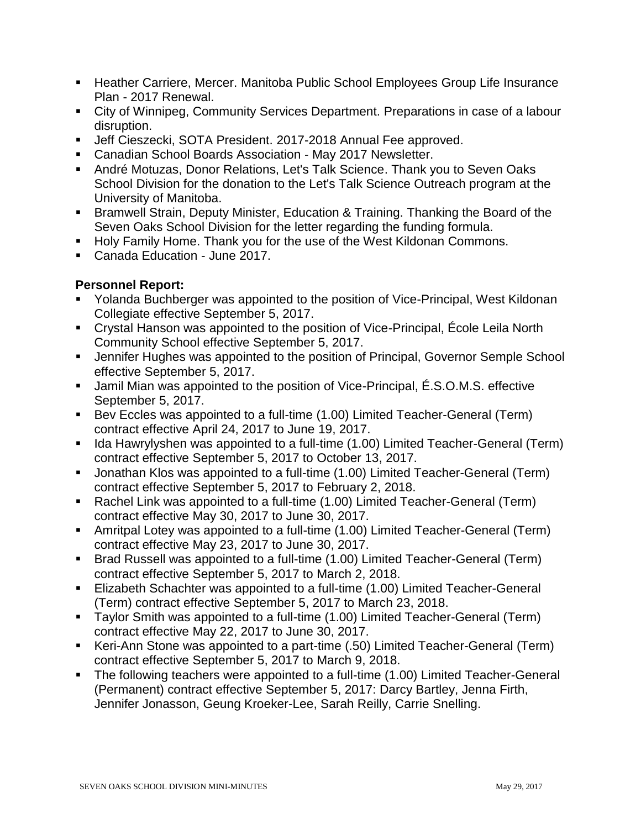- Heather Carriere, Mercer. Manitoba Public School Employees Group Life Insurance Plan - 2017 Renewal.
- City of Winnipeg, Community Services Department. Preparations in case of a labour disruption.
- Jeff Cieszecki, SOTA President. 2017-2018 Annual Fee approved.
- Canadian School Boards Association May 2017 Newsletter.
- André Motuzas, Donor Relations, Let's Talk Science. Thank you to Seven Oaks School Division for the donation to the Let's Talk Science Outreach program at the University of Manitoba.
- Bramwell Strain, Deputy Minister, Education & Training. Thanking the Board of the Seven Oaks School Division for the letter regarding the funding formula.
- **Holy Family Home. Thank you for the use of the West Kildonan Commons.**
- Canada Education June 2017.

### **Personnel Report:**

- Yolanda Buchberger was appointed to the position of Vice-Principal, West Kildonan Collegiate effective September 5, 2017.
- Crystal Hanson was appointed to the position of Vice-Principal, École Leila North Community School effective September 5, 2017.
- **Jennifer Hughes was appointed to the position of Principal, Governor Semple School** effective September 5, 2017.
- Jamil Mian was appointed to the position of Vice-Principal, É.S.O.M.S. effective September 5, 2017.
- Bev Eccles was appointed to a full-time (1.00) Limited Teacher-General (Term) contract effective April 24, 2017 to June 19, 2017.
- Ida Hawrylyshen was appointed to a full-time (1.00) Limited Teacher-General (Term) contract effective September 5, 2017 to October 13, 2017.
- Jonathan Klos was appointed to a full-time (1.00) Limited Teacher-General (Term) contract effective September 5, 2017 to February 2, 2018.
- Rachel Link was appointed to a full-time (1.00) Limited Teacher-General (Term) contract effective May 30, 2017 to June 30, 2017.
- Amritpal Lotey was appointed to a full-time (1.00) Limited Teacher-General (Term) contract effective May 23, 2017 to June 30, 2017.
- Brad Russell was appointed to a full-time (1.00) Limited Teacher-General (Term) contract effective September 5, 2017 to March 2, 2018.
- Elizabeth Schachter was appointed to a full-time (1.00) Limited Teacher-General (Term) contract effective September 5, 2017 to March 23, 2018.
- Taylor Smith was appointed to a full-time (1.00) Limited Teacher-General (Term) contract effective May 22, 2017 to June 30, 2017.
- Keri-Ann Stone was appointed to a part-time (.50) Limited Teacher-General (Term) contract effective September 5, 2017 to March 9, 2018.
- The following teachers were appointed to a full-time (1.00) Limited Teacher-General (Permanent) contract effective September 5, 2017: Darcy Bartley, Jenna Firth, Jennifer Jonasson, Geung Kroeker-Lee, Sarah Reilly, Carrie Snelling.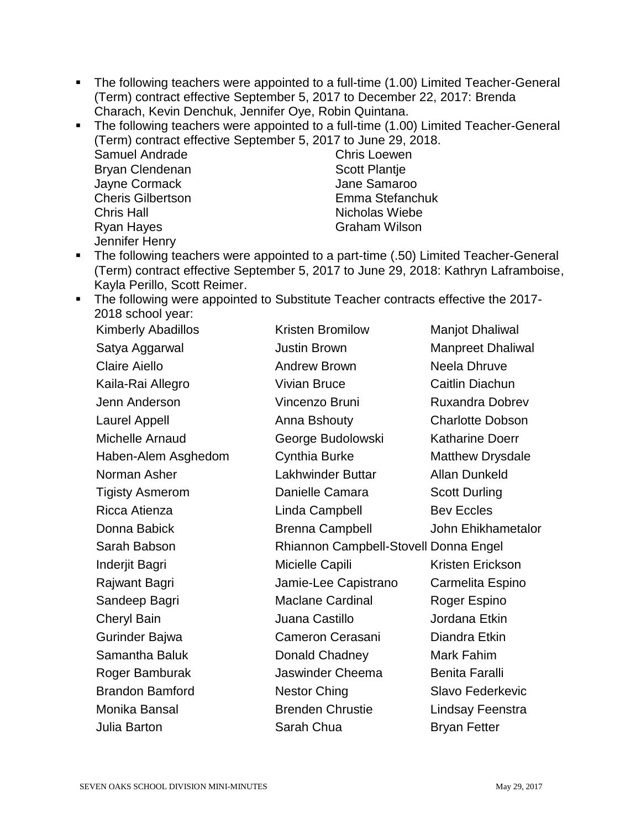- The following teachers were appointed to a full-time (1.00) Limited Teacher-General (Term) contract effective September 5, 2017 to December 22, 2017: Brenda Charach, Kevin Denchuk, Jennifer Oye, Robin Quintana.
- The following teachers were appointed to a full-time (1.00) Limited Teacher-General (Term) contract effective September 5, 2017 to June 29, 2018. Samuel Andrade Bryan Clendenan Jayne Cormack Cheris Gilbertson Chris Hall Ryan Hayes Jennifer Henry Chris Loewen Scott Plantie Jane Samaroo Emma Stefanchuk Nicholas Wiebe Graham Wilson
- The following teachers were appointed to a part-time (.50) Limited Teacher-General (Term) contract effective September 5, 2017 to June 29, 2018: Kathryn Laframboise, Kayla Perillo, Scott Reimer.
- The following were appointed to Substitute Teacher contracts effective the 2017-2018 school year: Kristen Bromilow Manjot Dhaliwal

| <b>Kimberly Abadillos</b> | <b>Kristen Bromilow</b>               | <b>Manjot Dhaliwal</b>   |
|---------------------------|---------------------------------------|--------------------------|
| Satya Aggarwal            | <b>Justin Brown</b>                   | <b>Manpreet Dhaliwal</b> |
| <b>Claire Aiello</b>      | <b>Andrew Brown</b>                   | Neela Dhruve             |
| Kaila-Rai Allegro         | <b>Vivian Bruce</b>                   | Caitlin Diachun          |
| Jenn Anderson             | Vincenzo Bruni                        | <b>Ruxandra Dobrev</b>   |
| <b>Laurel Appell</b>      | Anna Bshouty                          | <b>Charlotte Dobson</b>  |
| Michelle Arnaud           | George Budolowski                     | <b>Katharine Doerr</b>   |
| Haben-Alem Asghedom       | <b>Cynthia Burke</b>                  | Matthew Drysdale         |
| Norman Asher              | Lakhwinder Buttar                     | <b>Allan Dunkeld</b>     |
| <b>Tigisty Asmerom</b>    | Danielle Camara                       | <b>Scott Durling</b>     |
| Ricca Atienza             | Linda Campbell                        | <b>Bev Eccles</b>        |
| Donna Babick              | <b>Brenna Campbell</b>                | John Ehikhametalor       |
| Sarah Babson              | Rhiannon Campbell-Stovell Donna Engel |                          |
| Inderjit Bagri            | Micielle Capili                       | Kristen Erickson         |
| Rajwant Bagri             | Jamie-Lee Capistrano                  | Carmelita Espino         |
| Sandeep Bagri             | <b>Maclane Cardinal</b>               | Roger Espino             |
| <b>Cheryl Bain</b>        | Juana Castillo                        | Jordana Etkin            |
| Gurinder Bajwa            | Cameron Cerasani                      | Diandra Etkin            |
| Samantha Baluk            | Donald Chadney                        | Mark Fahim               |
| Roger Bamburak            | Jaswinder Cheema                      | <b>Benita Faralli</b>    |
| <b>Brandon Bamford</b>    | <b>Nestor Ching</b>                   | <b>Slavo Federkevic</b>  |
| Monika Bansal             | <b>Brenden Chrustie</b>               | Lindsay Feenstra         |
| Julia Barton              | Sarah Chua                            | <b>Bryan Fetter</b>      |
|                           |                                       |                          |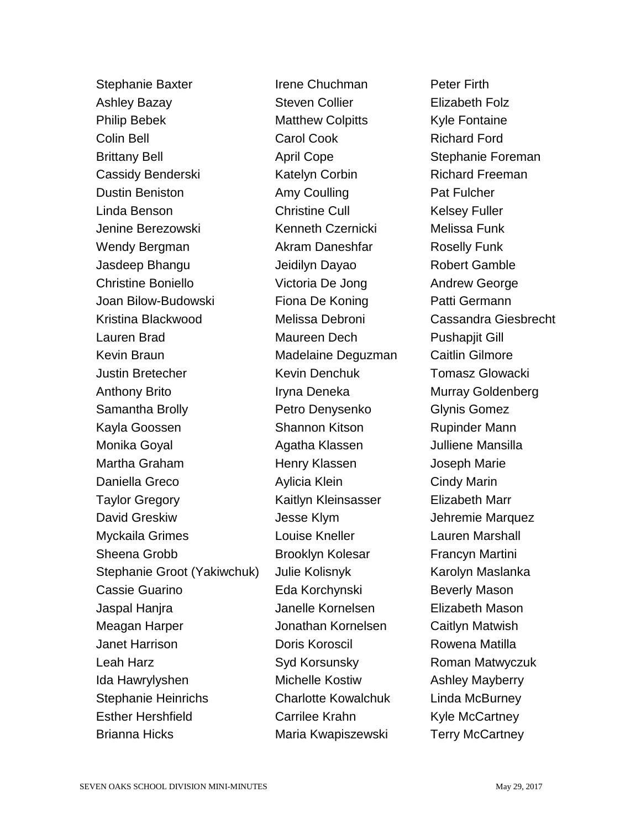Stephanie Baxter Ashley Bazay Philip Bebek Colin Bell Brittany Bell Cassidy Benderski Dustin Beniston Linda Benson Jenine Berezowski Wendy Bergman Jasdeep Bhangu Christine Boniello Joan Bilow-Budowski Kristina Blackwood Lauren Brad Kevin Braun Justin Bretecher Anthony Brito Samantha Brolly Kayla Goossen Monika Goyal Martha Graham Daniella Greco Taylor Gregory David Greskiw Myckaila Grimes Sheena Grobb Stephanie Groot (Yakiwchuk) Cassie Guarino Jaspal Hanjra Meagan Harper Janet Harrison Leah Harz Ida Hawrylyshen Stephanie Heinrichs Esther Hershfield Brianna Hicks

Irene Chuchman Steven Collier Matthew Colpitts Carol Cook April Cope Katelyn Corbin Amy Coulling Christine Cull Kenneth Czernicki Akram Daneshfar Jeidilyn Dayao Victoria De Jong Fiona De Koning Melissa Debroni Maureen Dech Madelaine Deguzman Kevin Denchuk Iryna Deneka Petro Denysenko Shannon Kitson Agatha Klassen Henry Klassen Aylicia Klein Kaitlyn Kleinsasser Jesse Klym Louise Kneller Brooklyn Kolesar Julie Kolisnyk Eda Korchynski Janelle Kornelsen Jonathan Kornelsen Doris Koroscil Syd Korsunsky Michelle Kostiw Charlotte Kowalchuk Carrilee Krahn Maria Kwapiszewski

Peter Firth Elizabeth Folz Kyle Fontaine Richard Ford Stephanie Foreman Richard Freeman Pat Fulcher Kelsey Fuller Melissa Funk Roselly Funk Robert Gamble Andrew George Patti Germann Cassandra Giesbrecht Pushapjit Gill Caitlin Gilmore Tomasz Glowacki Murray Goldenberg Glynis Gomez Rupinder Mann Julliene Mansilla Joseph Marie Cindy Marin Elizabeth Marr Jehremie Marquez Lauren Marshall Francyn Martini Karolyn Maslanka Beverly Mason Elizabeth Mason Caitlyn Matwish Rowena Matilla Roman Matwyczuk Ashley Mayberry Linda McBurney Kyle McCartney Terry McCartney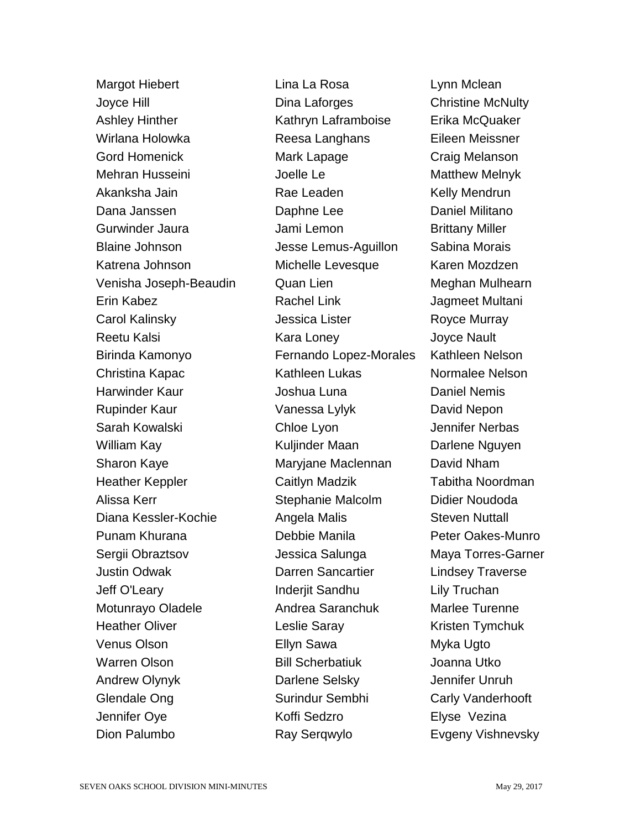Margot Hiebert Joyce Hill Ashley Hinther Wirlana Holowka Gord Homenick Mehran Husseini Akanksha Jain Dana Janssen Gurwinder Jaura Blaine Johnson Katrena Johnson Venisha Joseph-Beaudin Erin Kabez Carol Kalinsky Reetu Kalsi Birinda Kamonyo Christina Kapac Harwinder Kaur Rupinder Kaur Sarah Kowalski William Kay Sharon Kaye Heather Keppler Alissa Kerr Diana Kessler-Kochie Punam Khurana Sergii Obraztsov Justin Odwak Jeff O'Leary Motunrayo Oladele Heather Oliver Venus Olson Warren Olson Andrew Olynyk Glendale Ong Jennifer Oye Dion Palumbo

Lina La Rosa Dina Laforges Kathryn Laframboise Reesa Langhans Mark Lapage Joelle Le Rae Leaden Daphne Lee Jami Lemon Jesse Lemus-Aguillon Michelle Levesque Quan Lien Rachel Link Jessica Lister Kara Loney Fernando Lopez-Morales Kathleen Lukas Joshua Luna Vanessa Lylyk Chloe Lyon Kuljinder Maan Maryjane Maclennan Caitlyn Madzik Stephanie Malcolm Angela Malis Debbie Manila Jessica Salunga Darren Sancartier Inderiit Sandhu Andrea Saranchuk Leslie Saray Ellyn Sawa Bill Scherbatiuk Darlene Selsky Surindur Sembhi Koffi Sedzro Ray Serqwylo

Lynn Mclean Christine McNulty Erika McQuaker Eileen Meissner Craig Melanson Matthew Melnyk Kelly Mendrun Daniel Militano Brittany Miller Sabina Morais Karen Mozdzen Meghan Mulhearn Jagmeet Multani Royce Murray Joyce Nault Kathleen Nelson Normalee Nelson Daniel Nemis David Nepon Jennifer Nerbas Darlene Nguyen David Nham Tabitha Noordman Didier Noudoda Steven Nuttall Peter Oakes-Munro Maya Torres-Garner Lindsey Traverse Lily Truchan Marlee Turenne Kristen Tymchuk Myka Ugto Joanna Utko Jennifer Unruh Carly Vanderhooft Elyse Vezina Evgeny Vishnevsky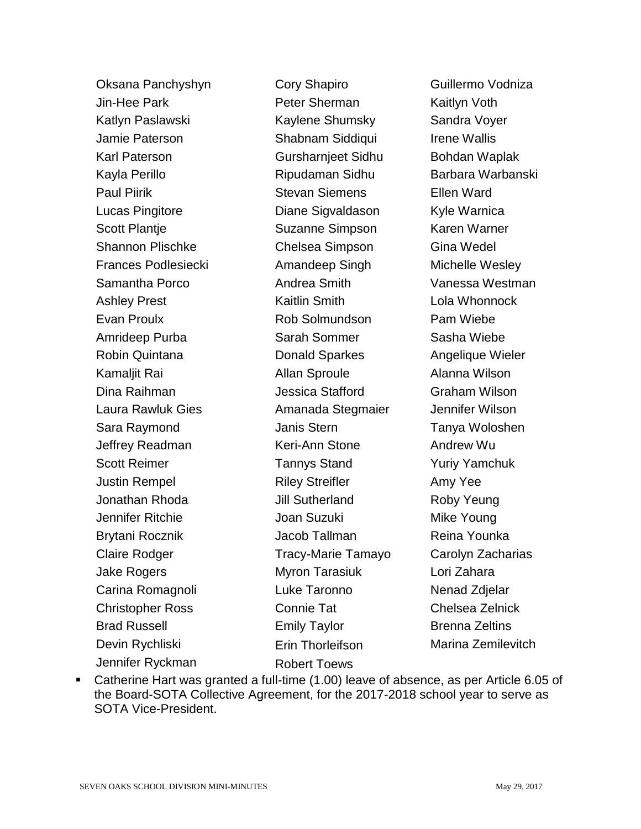Oksana Panchyshyn Jin-Hee Park Katlyn Paslawski Jamie Paterson Karl Paterson Kayla Perillo Paul Piirik Lucas Pingitore Scott Plantje Shannon Plischke Frances Podlesiecki Samantha Porco Ashley Prest Evan Proulx Amrideep Purba Robin Quintana Kamaljit Rai Dina Raihman Laura Rawluk Gies Sara Raymond Jeffrey Readman Scott Reimer Justin Rempel Jonathan Rhoda Jennifer Ritchie Brytani Rocznik Claire Rodger Jake Rogers Carina Romagnoli Christopher Ross Brad Russell Devin Rychliski Jennifer Ryckman

Cory Shapiro Peter Sherman Kaylene Shumsky Shabnam Siddiqui Gursharnjeet Sidhu Ripudaman Sidhu Stevan Siemens Diane Sigvaldason Suzanne Simpson Chelsea Simpson Amandeep Singh Andrea Smith Kaitlin Smith Rob Solmundson Sarah Sommer Donald Sparkes Allan Sproule Jessica Stafford Amanada Stegmaier Janis Stern Keri-Ann Stone Tannys Stand Riley Streifler Jill Sutherland Joan Suzuki Jacob Tallman Tracy-Marie Tamayo Myron Tarasiuk Luke Taronno Connie Tat Emily Taylor Erin Thorleifson Robert Toews

Guillermo Vodniza Kaitlyn Voth Sandra Voyer Irene Wallis Bohdan Waplak Barbara Warbanski Ellen Ward Kyle Warnica Karen Warner Gina Wedel Michelle Wesley Vanessa Westman Lola Whonnock Pam Wiebe Sasha Wiebe Angelique Wieler Alanna Wilson Graham Wilson Jennifer Wilson Tanya Woloshen Andrew Wu Yuriy Yamchuk Amy Yee Roby Yeung Mike Young Reina Younka Carolyn Zacharias Lori Zahara Nenad Zdjelar Chelsea Zelnick Brenna Zeltins Marina Zemilevitch

 Catherine Hart was granted a full-time (1.00) leave of absence, as per Article 6.05 of the Board-SOTA Collective Agreement, for the 2017-2018 school year to serve as SOTA Vice-President.